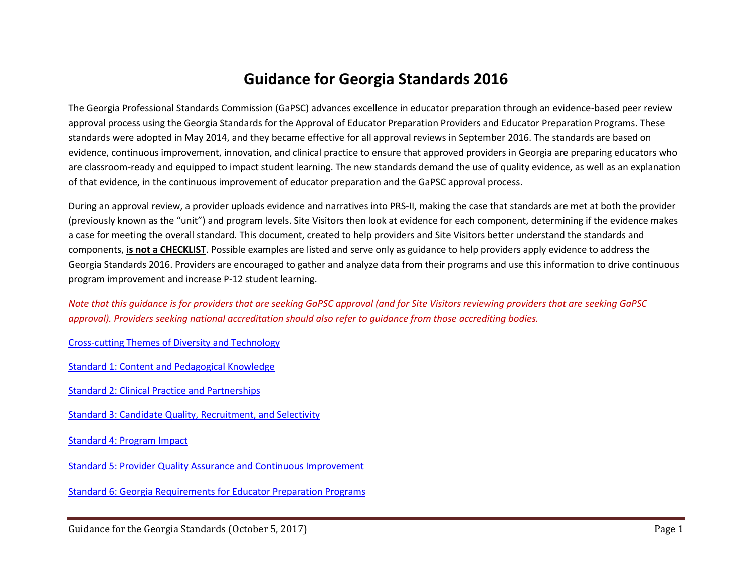# **Guidance for Georgia Standards 2016**

The Georgia Professional Standards Commission (GaPSC) advances excellence in educator preparation through an evidence-based peer review approval process using the Georgia Standards for the Approval of Educator Preparation Providers and Educator Preparation Programs. These standards were adopted in May 2014, and they became effective for all approval reviews in September 2016. The standards are based on evidence, continuous improvement, innovation, and clinical practice to ensure that approved providers in Georgia are preparing educators who are classroom-ready and equipped to impact student learning. The new standards demand the use of quality evidence, as well as an explanation of that evidence, in the continuous improvement of educator preparation and the GaPSC approval process.

During an approval review, a provider uploads evidence and narratives into PRS-II, making the case that standards are met at both the provider (previously known as the "unit") and program levels. Site Visitors then look at evidence for each component, determining if the evidence makes a case for meeting the overall standard. This document, created to help providers and Site Visitors better understand the standards and components, **is not a CHECKLIST**. Possible examples are listed and serve only as guidance to help providers apply evidence to address the Georgia Standards 2016. Providers are encouraged to gather and analyze data from their programs and use this information to drive continuous program improvement and increase P-12 student learning.

*Note that this guidance is for providers that are seeking GaPSC approval (and for Site Visitors reviewing providers that are seeking GaPSC approval). Providers seeking national accreditation should also refer to guidance from those accrediting bodies.* 

Cross-cutting Themes of Diversity and Technology

Standard 1: Content and Pedagogical Knowledge

Standard 2: Clinical Practice and Partnerships

Standard 3: Candidate Quality, Recruitment, and Selectivity

Standard 4: Program Impact

Standard 5: Provider Quality Assurance and Continuous Improvement

Standard 6: Georgia Requirements for Educator Preparation Programs

Guidance for the Georgia Standards (October 5, 2017) Superior Contract and Standards (Page 1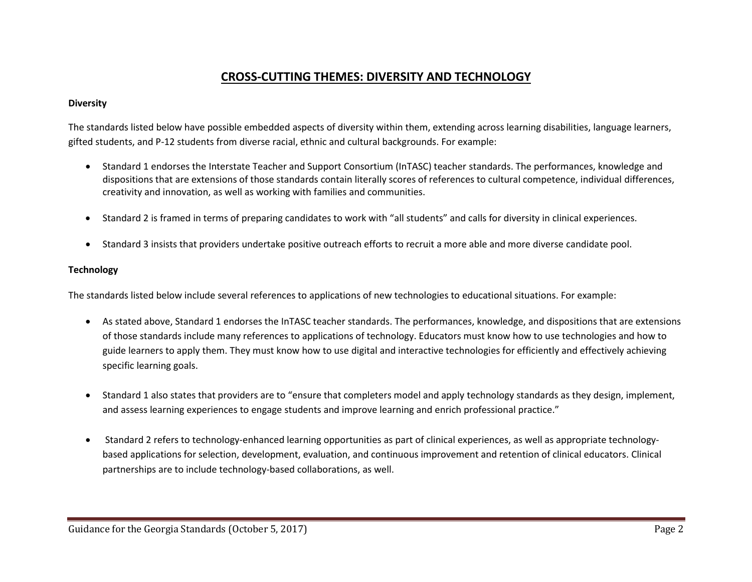## **CROSS-CUTTING THEMES: DIVERSITY AND TECHNOLOGY**

#### **Diversity**

The standards listed below have possible embedded aspects of diversity within them, extending across learning disabilities, language learners, gifted students, and P-12 students from diverse racial, ethnic and cultural backgrounds. For example:

- Standard 1 endorses the Interstate Teacher and Support Consortium (InTASC) teacher standards. The performances, knowledge and dispositions that are extensions of those standards contain literally scores of references to cultural competence, individual differences, creativity and innovation, as well as working with families and communities.
- Standard 2 is framed in terms of preparing candidates to work with "all students" and calls for diversity in clinical experiences.
- Standard 3 insists that providers undertake positive outreach efforts to recruit a more able and more diverse candidate pool.

#### **Technology**

The standards listed below include several references to applications of new technologies to educational situations. For example:

- As stated above, Standard 1 endorses the InTASC teacher standards. The performances, knowledge, and dispositions that are extensions of those standards include many references to applications of technology. Educators must know how to use technologies and how to guide learners to apply them. They must know how to use digital and interactive technologies for efficiently and effectively achieving specific learning goals.
- Standard 1 also states that providers are to "ensure that completers model and apply technology standards as they design, implement, and assess learning experiences to engage students and improve learning and enrich professional practice."
- Standard 2 refers to technology-enhanced learning opportunities as part of clinical experiences, as well as appropriate technologybased applications for selection, development, evaluation, and continuous improvement and retention of clinical educators. Clinical partnerships are to include technology-based collaborations, as well.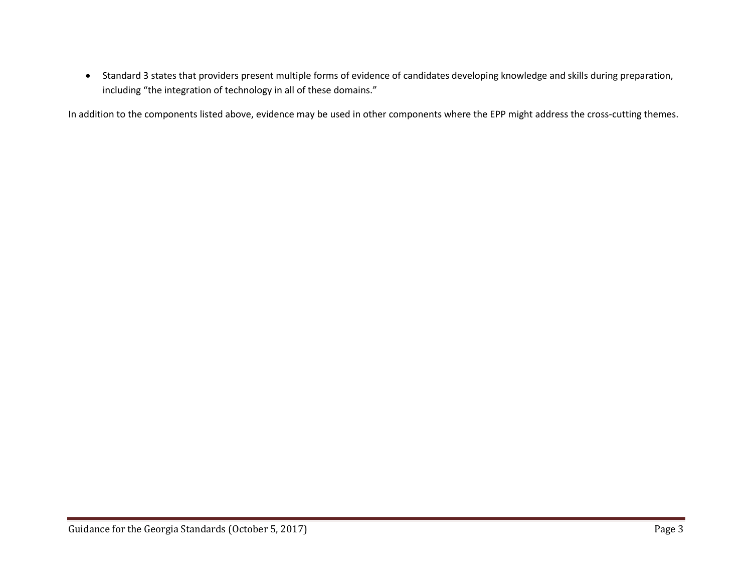Standard 3 states that providers present multiple forms of evidence of candidates developing knowledge and skills during preparation, including "the integration of technology in all of these domains."

In addition to the components listed above, evidence may be used in other components where the EPP might address the cross-cutting themes.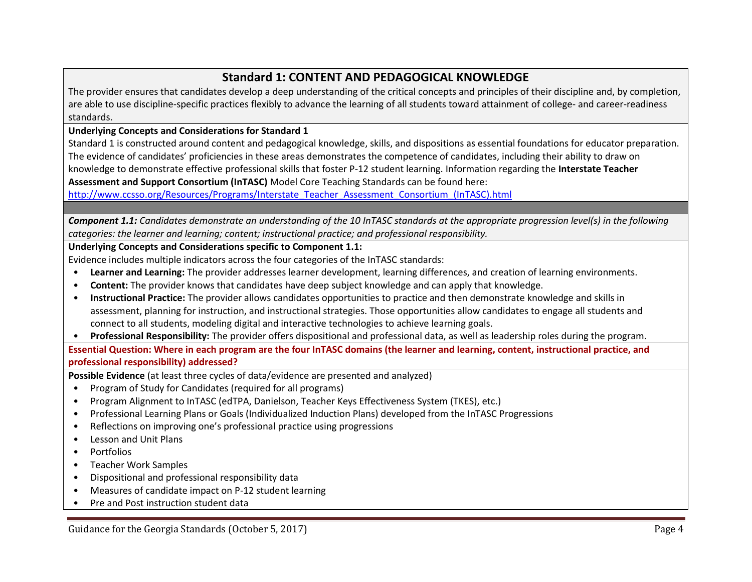## **Standard 1: CONTENT AND PEDAGOGICAL KNOWLEDGE**

The provider ensures that candidates develop a deep understanding of the critical concepts and principles of their discipline and, by completion, are able to use discipline-specific practices flexibly to advance the learning of all students toward attainment of college- and career-readiness standards.

**Underlying Concepts and Considerations for Standard 1**

Standard 1 is constructed around content and pedagogical knowledge, skills, and dispositions as essential foundations for educator preparation. The evidence of candidates' proficiencies in these areas demonstrates the competence of candidates, including their ability to draw on knowledge to demonstrate effective professional skills that foster P-12 student learning. Information regarding the **Interstate Teacher Assessment and Support Consortium (InTASC)** Model Core Teaching Standards can be found here:

http://www.ccsso.org/Resources/Programs/Interstate\_Teacher\_Assessment\_Consortium\_(InTASC).html

*Component 1.1: Candidates demonstrate an understanding of the 10 InTASC standards at the appropriate progression level(s) in the following categories: the learner and learning; content; instructional practice; and professional responsibility.*

#### **Underlying Concepts and Considerations specific to Component 1.1:**

Evidence includes multiple indicators across the four categories of the InTASC standards:

- **Learner and Learning:** The provider addresses learner development, learning differences, and creation of learning environments.
- **Content:** The provider knows that candidates have deep subject knowledge and can apply that knowledge.
- **Instructional Practice:** The provider allows candidates opportunities to practice and then demonstrate knowledge and skills in assessment, planning for instruction, and instructional strategies. Those opportunities allow candidates to engage all students and connect to all students, modeling digital and interactive technologies to achieve learning goals.
- **Professional Responsibility:** The provider offers dispositional and professional data, as well as leadership roles during the program.

**Essential Question: Where in each program are the four InTASC domains (the learner and learning, content, instructional practice, and professional responsibility) addressed?**

**Possible Evidence** (at least three cycles of data/evidence are presented and analyzed)

- Program of Study for Candidates (required for all programs)
- Program Alignment to InTASC (edTPA, Danielson, Teacher Keys Effectiveness System (TKES), etc.)
- Professional Learning Plans or Goals (Individualized Induction Plans) developed from the InTASC Progressions
- Reflections on improving one's professional practice using progressions
- Lesson and Unit Plans
- Portfolios
- Teacher Work Samples
- Dispositional and professional responsibility data
- Measures of candidate impact on P-12 student learning
- Pre and Post instruction student data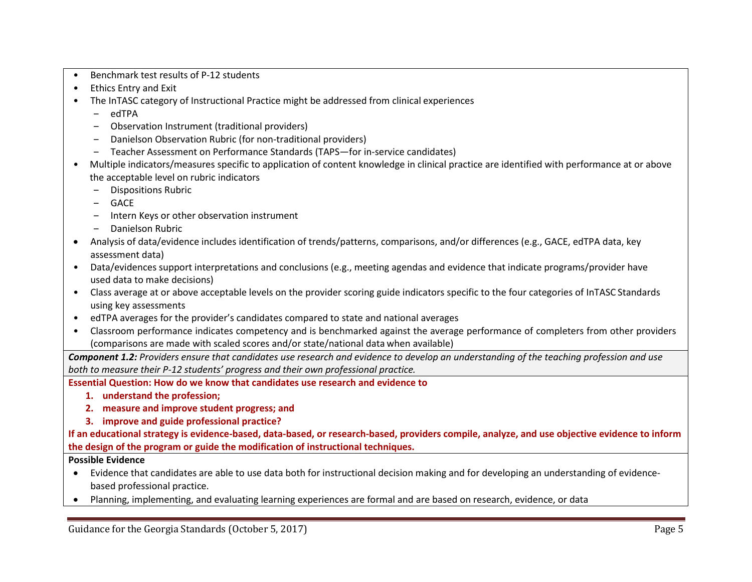- Benchmark test results of P-12 students
- Ethics Entry and Exit
- The InTASC category of Instructional Practice might be addressed from clinical experiences
	- $-$  edTPA
	- ‒ Observation Instrument (traditional providers)
	- ‒ Danielson Observation Rubric (for non-traditional providers)
	- ‒ Teacher Assessment on Performance Standards (TAPS—for in-service candidates)
- Multiple indicators/measures specific to application of content knowledge in clinical practice are identified with performance at or above the acceptable level on rubric indicators
	- ‒ Dispositions Rubric
	- ‒ GACE
	- ‒ Intern Keys or other observation instrument
	- ‒ Danielson Rubric
- Analysis of data/evidence includes identification of trends/patterns, comparisons, and/or differences (e.g., GACE, edTPA data, key assessment data)
- Data/evidences support interpretations and conclusions (e.g., meeting agendas and evidence that indicate programs/provider have used data to make decisions)
- Class average at or above acceptable levels on the provider scoring guide indicators specific to the four categories of InTASC Standards using key assessments
- edTPA averages for the provider's candidates compared to state and national averages
- Classroom performance indicates competency and is benchmarked against the average performance of completers from other providers (comparisons are made with scaled scores and/or state/national data when available)

*Component 1.2: Providers ensure that candidates use research and evidence to develop an understanding of the teaching profession and use both to measure their P-12 students' progress and their own professional practice.*

**Essential Question: How do we know that candidates use research and evidence to**

- **1. understand the profession;**
- **2. measure and improve student progress; and**
- **3. improve and guide professional practice?**

**If an educational strategy is evidence-based, data-based, or research-based, providers compile, analyze, and use objective evidence to inform the design of the program or guide the modification of instructional techniques.**

- Evidence that candidates are able to use data both for instructional decision making and for developing an understanding of evidencebased professional practice.
- Planning, implementing, and evaluating learning experiences are formal and are based on research, evidence, or data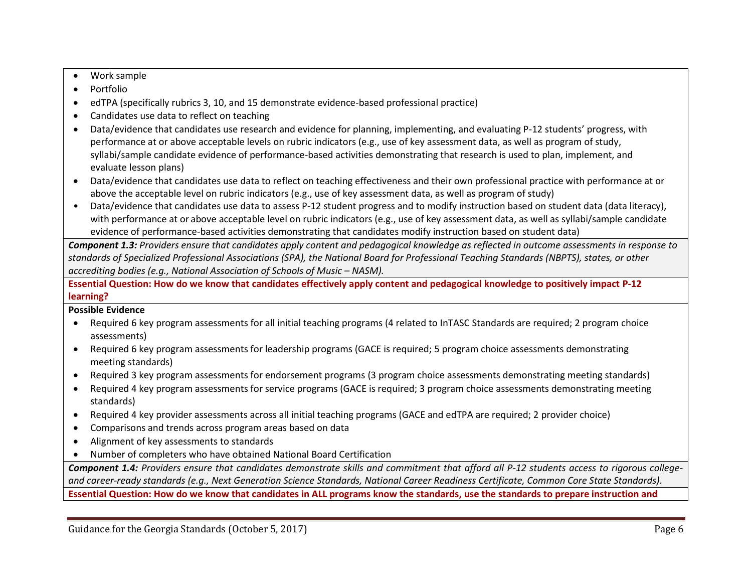- Work sample
- Portfolio
- edTPA (specifically rubrics 3, 10, and 15 demonstrate evidence-based professional practice)
- Candidates use data to reflect on teaching
- Data/evidence that candidates use research and evidence for planning, implementing, and evaluating P-12 students' progress, with performance at or above acceptable levels on rubric indicators (e.g., use of key assessment data, as well as program of study, syllabi/sample candidate evidence of performance-based activities demonstrating that research is used to plan, implement, and evaluate lesson plans)
- Data/evidence that candidates use data to reflect on teaching effectiveness and their own professional practice with performance at or above the acceptable level on rubric indicators (e.g., use of key assessment data, as well as program of study)
- Data/evidence that candidates use data to assess P-12 student progress and to modify instruction based on student data (data literacy), with performance at or above acceptable level on rubric indicators (e.g., use of key assessment data, as well as syllabi/sample candidate evidence of performance-based activities demonstrating that candidates modify instruction based on student data)

*Component 1.3: Providers ensure that candidates apply content and pedagogical knowledge as reflected in outcome assessments in response to standards of Specialized Professional Associations (SPA), the National Board for Professional Teaching Standards (NBPTS), states, or other accrediting bodies (e.g., National Association of Schools of Music – NASM).* 

**Essential Question: How do we know that candidates effectively apply content and pedagogical knowledge to positively impact P-12 learning?**

## **Possible Evidence**

- Required 6 key program assessments for all initial teaching programs (4 related to InTASC Standards are required; 2 program choice assessments)
- Required 6 key program assessments for leadership programs (GACE is required; 5 program choice assessments demonstrating meeting standards)
- Required 3 key program assessments for endorsement programs (3 program choice assessments demonstrating meeting standards)
- Required 4 key program assessments for service programs (GACE is required; 3 program choice assessments demonstrating meeting standards)
- Required 4 key provider assessments across all initial teaching programs (GACE and edTPA are required; 2 provider choice)
- Comparisons and trends across program areas based on data
- Alignment of key assessments to standards
- Number of completers who have obtained National Board Certification

*Component 1.4: Providers ensure that candidates demonstrate skills and commitment that afford all P-12 students access to rigorous collegeand career-ready standards (e.g., Next Generation Science Standards, National Career Readiness Certificate, Common Core State Standards).*

**Essential Question: How do we know that candidates in ALL programs know the standards, use the standards to prepare instruction and**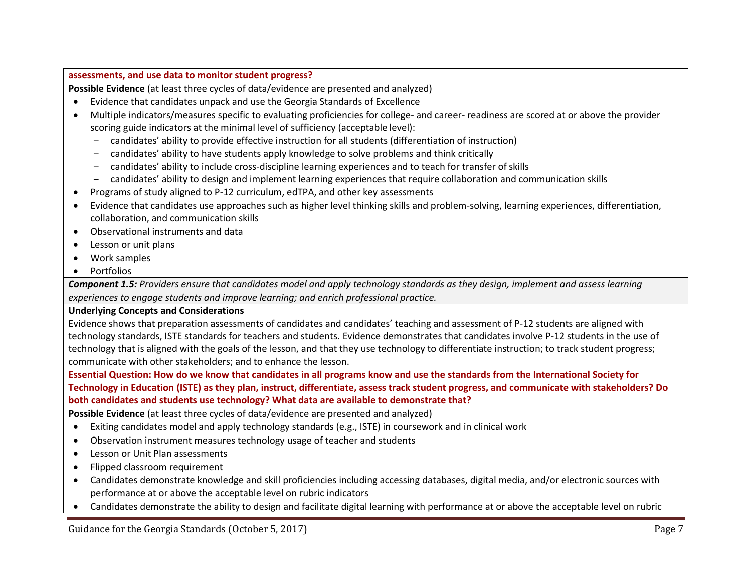#### **assessments, and use data to monitor student progress?**

**Possible Evidence** (at least three cycles of data/evidence are presented and analyzed)

- Evidence that candidates unpack and use the Georgia Standards of Excellence
- Multiple indicators/measures specific to evaluating proficiencies for college- and career- readiness are scored at or above the provider scoring guide indicators at the minimal level of sufficiency (acceptable level):
	- ‒ candidates' ability to provide effective instruction for all students (differentiation of instruction)
	- ‒ candidates' ability to have students apply knowledge to solve problems and think critically
	- ‒ candidates' ability to include cross-discipline learning experiences and to teach for transfer ofskills
	- ‒ candidates' ability to design and implement learning experiences that require collaboration and communication skills
- Programs of study aligned to P-12 curriculum, edTPA, and other key assessments
- Evidence that candidates use approaches such as higher level thinking skills and problem-solving, learning experiences, differentiation, collaboration, and communication skills
- Observational instruments and data
- Lesson or unit plans
- Work samples
- Portfolios

*Component 1.5: Providers ensure that candidates model and apply technology standards as they design, implement and assess learning experiences to engage students and improve learning; and enrich professional practice.*

#### **Underlying Concepts and Considerations**

Evidence shows that preparation assessments of candidates and candidates' teaching and assessment of P-12 students are aligned with technology standards, ISTE standards for teachers and students. Evidence demonstrates that candidates involve P-12 students in the use of technology that is aligned with the goals of the lesson, and that they use technology to differentiate instruction; to track student progress; communicate with other stakeholders; and to enhance the lesson.

**Essential Question: How do we know that candidates in all programs know and use the standards from the International Society for Technology in Education (ISTE) as they plan, instruct, differentiate, assess track student progress, and communicate with stakeholders? Do both candidates and students use technology? What data are available to demonstrate that?**

**Possible Evidence** (at least three cycles of data/evidence are presented and analyzed)

- Exiting candidates model and apply technology standards (e.g., ISTE) in coursework and in clinical work
- Observation instrument measures technology usage of teacher and students
- Lesson or Unit Plan assessments
- Flipped classroom requirement
- Candidates demonstrate knowledge and skill proficiencies including accessing databases, digital media, and/or electronic sources with performance at or above the acceptable level on rubric indicators
- Candidates demonstrate the ability to design and facilitate digital learning with performance at or above the acceptable level on rubric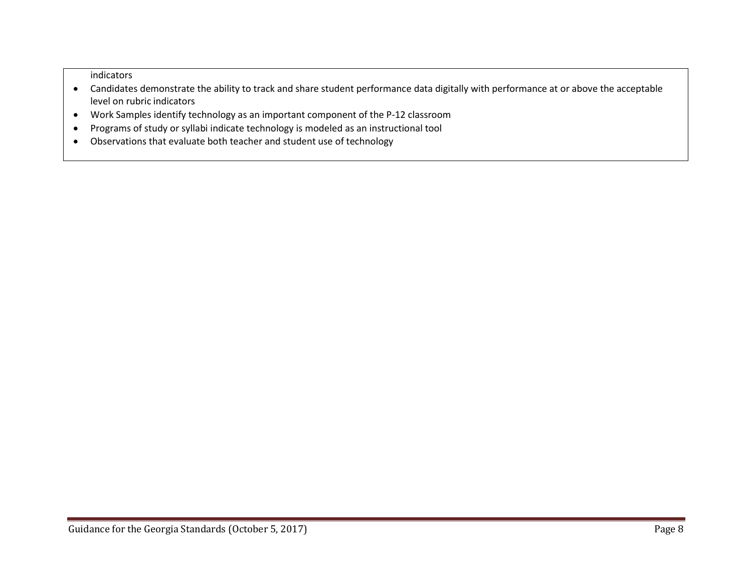indicators

- Candidates demonstrate the ability to track and share student performance data digitally with performance at or above the acceptable level on rubric indicators
- Work Samples identify technology as an important component of the P-12 classroom
- Programs of study or syllabi indicate technology is modeled as an instructional tool
- Observations that evaluate both teacher and student use of technology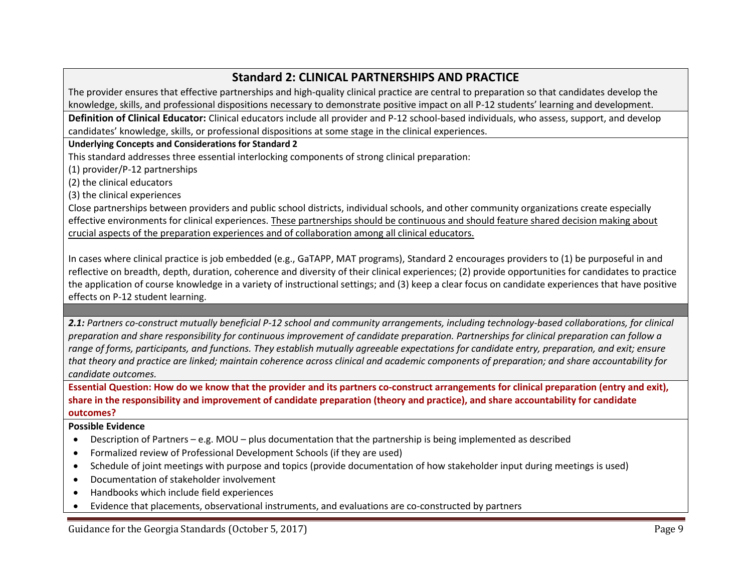## **Standard 2: CLINICAL PARTNERSHIPS AND PRACTICE**

The provider ensures that effective partnerships and high-quality clinical practice are central to preparation so that candidates develop the knowledge, skills, and professional dispositions necessary to demonstrate positive impact on all P-12 students' learning and development.

**Definition of Clinical Educator:** Clinical educators include all provider and P-12 school-based individuals, who assess, support, and develop candidates' knowledge, skills, or professional dispositions at some stage in the clinical experiences.

#### **Underlying Concepts and Considerations for Standard 2**

This standard addresses three essential interlocking components of strong clinical preparation:

(1) provider/P-12 partnerships

(2) the clinical educators

(3) the clinical experiences

Close partnerships between providers and public school districts, individual schools, and other community organizations create especially effective environments for clinical experiences. These partnerships should be continuous and should feature shared decision making about crucial aspects of the preparation experiences and of collaboration among all clinical educators.

In cases where clinical practice is job embedded (e.g., GaTAPP, MAT programs), Standard 2 encourages providers to (1) be purposeful in and reflective on breadth, depth, duration, coherence and diversity of their clinical experiences; (2) provide opportunities for candidates to practice the application of course knowledge in a variety of instructional settings; and (3) keep a clear focus on candidate experiences that have positive effects on P-12 student learning.

*2.1: Partners co-construct mutually beneficial P-12 school and community arrangements, including technology-based collaborations, for clinical preparation and share responsibility for continuous improvement of candidate preparation. Partnerships for clinical preparation can follow a range of forms, participants, and functions. They establish mutually agreeable expectations for candidate entry, preparation, and exit; ensure that theory and practice are linked; maintain coherence across clinical and academic components of preparation; and share accountability for candidate outcomes.*

**Essential Question: How do we know that the provider and its partners co-construct arrangements for clinical preparation (entry and exit), share in the responsibility and improvement of candidate preparation (theory and practice), and share accountability for candidate outcomes?**

- Description of Partners e.g. MOU plus documentation that the partnership is being implemented as described
- Formalized review of Professional Development Schools (if they are used)
- Schedule of joint meetings with purpose and topics (provide documentation of how stakeholder input during meetings is used)
- Documentation of stakeholder involvement
- Handbooks which include field experiences
- Evidence that placements, observational instruments, and evaluations are co-constructed by partners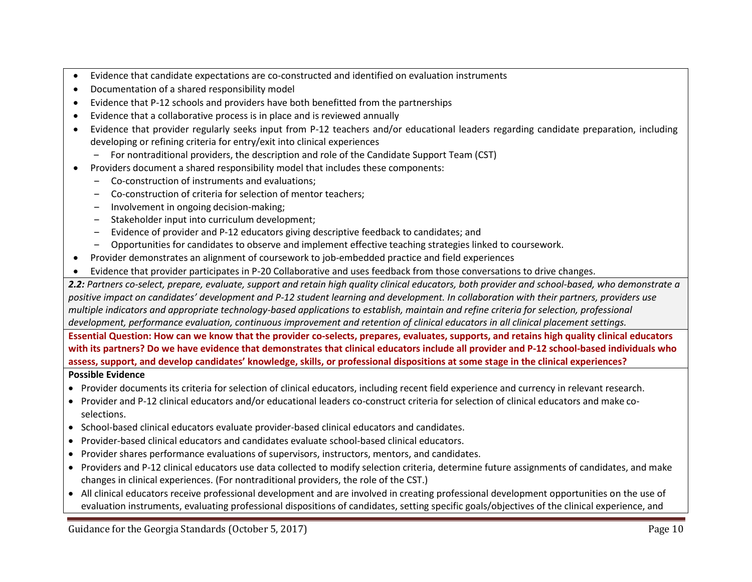- Evidence that candidate expectations are co-constructed and identified on evaluation instruments
- Documentation of a shared responsibility model
- Evidence that P-12 schools and providers have both benefitted from the partnerships
- Evidence that a collaborative process is in place and is reviewed annually
- Evidence that provider regularly seeks input from P-12 teachers and/or educational leaders regarding candidate preparation, including developing or refining criteria for entry/exit into clinical experiences
	- ‒ For nontraditional providers, the description and role of the Candidate Support Team (CST)
- Providers document a shared responsibility model that includes these components:
	- ‒ Co-construction of instruments and evaluations;
	- ‒ Co-construction of criteria for selection of mentor teachers;
	- ‒ Involvement in ongoing decision-making;
	- ‒ Stakeholder input into curriculum development;
	- ‒ Evidence of provider and P-12 educators giving descriptive feedback to candidates; and
	- ‒ Opportunities for candidates to observe and implement effective teaching strategies linked to coursework.
- Provider demonstrates an alignment of coursework to job-embedded practice and field experiences
- Evidence that provider participates in P-20 Collaborative and uses feedback from those conversations to drive changes.

**2.2:** Partners co-select, prepare, evaluate, support and retain high quality clinical educators, both provider and school-based, who demonstrate a *positive impact on candidates' development and P-12 student learning and development. In collaboration with their partners, providers use multiple indicators and appropriate technology-based applications to establish, maintain and refine criteria for selection, professional development, performance evaluation, continuous improvement and retention of clinical educators in all clinical placement settings.*

**Essential Question: How can we know that the provider co-selects, prepares, evaluates, supports, and retains high quality clinical educators with its partners? Do we have evidence that demonstrates that clinical educators include all provider and P-12 school-based individuals who assess, support, and develop candidates' knowledge, skills, or professional dispositions at some stage in the clinical experiences?**

- Provider documents its criteria for selection of clinical educators, including recent field experience and currency in relevant research.
- Provider and P-12 clinical educators and/or educational leaders co-construct criteria for selection of clinical educators and make coselections.
- School-based clinical educators evaluate provider-based clinical educators and candidates.
- Provider-based clinical educators and candidates evaluate school-based clinical educators.
- Provider shares performance evaluations of supervisors, instructors, mentors, and candidates.
- Providers and P-12 clinical educators use data collected to modify selection criteria, determine future assignments of candidates, and make changes in clinical experiences. (For nontraditional providers, the role of the CST.)
- All clinical educators receive professional development and are involved in creating professional development opportunities on the use of evaluation instruments, evaluating professional dispositions of candidates, setting specific goals/objectives of the clinical experience, and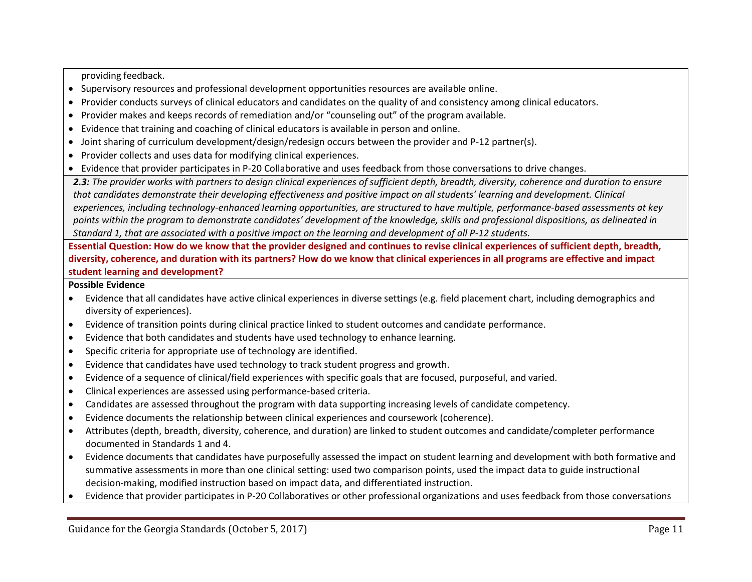providing feedback.

- Supervisory resources and professional development opportunities resources are available online.
- Provider conducts surveys of clinical educators and candidates on the quality of and consistency among clinical educators.
- Provider makes and keeps records of remediation and/or "counseling out" of the program available.
- Evidence that training and coaching of clinical educators is available in person and online.
- Joint sharing of curriculum development/design/redesign occurs between the provider and P-12 partner(s).
- Provider collects and uses data for modifying clinical experiences.
- Evidence that provider participates in P-20 Collaborative and uses feedback from those conversations to drive changes.

*2.3: The provider works with partners to design clinical experiences of sufficient depth, breadth, diversity, coherence and duration to ensure that candidates demonstrate their developing effectiveness and positive impact on all students' learning and development. Clinical experiences, including technology-enhanced learning opportunities, are structured to have multiple, performance-based assessments at key points within the program to demonstrate candidates' development of the knowledge, skills and professional dispositions, as delineated in Standard 1, that are associated with a positive impact on the learning and development of all P-12 students.*

**Essential Question: How do we know that the provider designed and continues to revise clinical experiences of sufficient depth, breadth, diversity, coherence, and duration with its partners? How do we know that clinical experiences in all programs are effective and impact student learning and development?**

- Evidence that all candidates have active clinical experiences in diverse settings (e.g. field placement chart, including demographics and diversity of experiences).
- Evidence of transition points during clinical practice linked to student outcomes and candidate performance.
- Evidence that both candidates and students have used technology to enhance learning.
- Specific criteria for appropriate use of technology are identified.
- Evidence that candidates have used technology to track student progress and growth.
- Evidence of a sequence of clinical/field experiences with specific goals that are focused, purposeful, and varied.
- Clinical experiences are assessed using performance-based criteria.
- Candidates are assessed throughout the program with data supporting increasing levels of candidate competency.
- Evidence documents the relationship between clinical experiences and coursework (coherence).
- Attributes (depth, breadth, diversity, coherence, and duration) are linked to student outcomes and candidate/completer performance documented in Standards 1 and 4.
- Evidence documents that candidates have purposefully assessed the impact on student learning and development with both formative and summative assessments in more than one clinical setting: used two comparison points, used the impact data to guide instructional decision-making, modified instruction based on impact data, and differentiated instruction.
- Evidence that provider participates in P-20 Collaboratives or other professional organizations and uses feedback from those conversations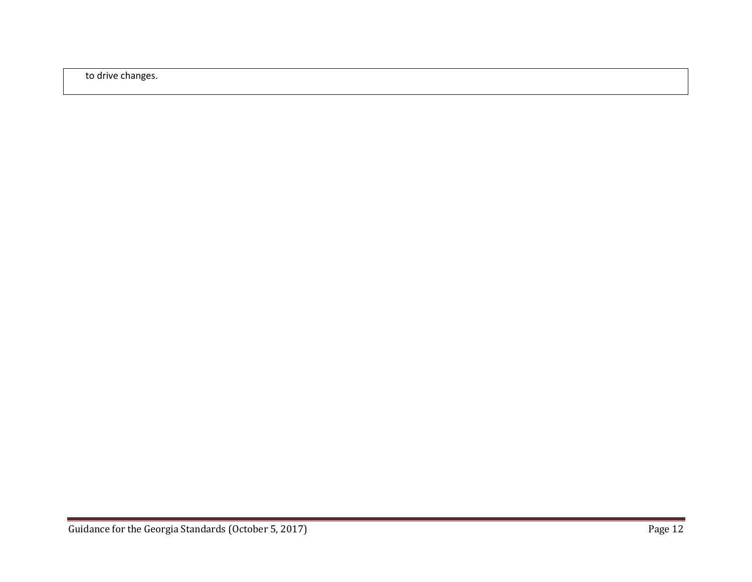to drive changes.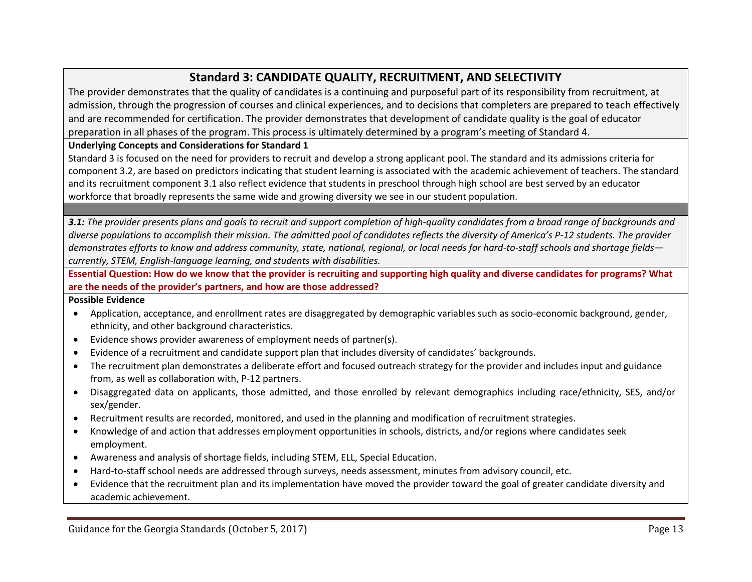## **Standard 3: CANDIDATE QUALITY, RECRUITMENT, AND SELECTIVITY**

The provider demonstrates that the quality of candidates is a continuing and purposeful part of its responsibility from recruitment, at admission, through the progression of courses and clinical experiences, and to decisions that completers are prepared to teach effectively and are recommended for certification. The provider demonstrates that development of candidate quality is the goal of educator preparation in all phases of the program. This process is ultimately determined by a program's meeting of Standard 4.

### **Underlying Concepts and Considerations for Standard 1**

Standard 3 is focused on the need for providers to recruit and develop a strong applicant pool. The standard and its admissions criteria for component 3.2, are based on predictors indicating that student learning is associated with the academic achievement of teachers. The standard and its recruitment component 3.1 also reflect evidence that students in preschool through high school are best served by an educator workforce that broadly represents the same wide and growing diversity we see in our student population.

**3.1:** The provider presents plans and goals to recruit and support completion of high-quality candidates from a broad range of backgrounds and *diverse populations to accomplish their mission. The admitted pool of candidates reflects the diversity of America's P-12 students. The provider demonstrates efforts to know and address community, state, national, regional, or local needs for hard-to-staff schools and shortage fields currently, STEM, English-language learning, and students with disabilities.*

**Essential Question: How do we know that the provider is recruiting and supporting high quality and diverse candidates for programs? What are the needs of the provider's partners, and how are those addressed?**

- Application, acceptance, and enrollment rates are disaggregated by demographic variables such as socio-economic background, gender, ethnicity, and other background characteristics.
- Evidence shows provider awareness of employment needs of partner(s).
- Evidence of a recruitment and candidate support plan that includes diversity of candidates' backgrounds.
- The recruitment plan demonstrates a deliberate effort and focused outreach strategy for the provider and includes input and guidance from, as well as collaboration with, P-12 partners.
- Disaggregated data on applicants, those admitted, and those enrolled by relevant demographics including race/ethnicity, SES, and/or sex/gender.
- Recruitment results are recorded, monitored, and used in the planning and modification of recruitment strategies.
- Knowledge of and action that addresses employment opportunities in schools, districts, and/or regions where candidates seek employment.
- Awareness and analysis of shortage fields, including STEM, ELL, Special Education.
- Hard-to-staff school needs are addressed through surveys, needs assessment, minutes from advisory council, etc.
- Evidence that the recruitment plan and its implementation have moved the provider toward the goal of greater candidate diversity and academic achievement.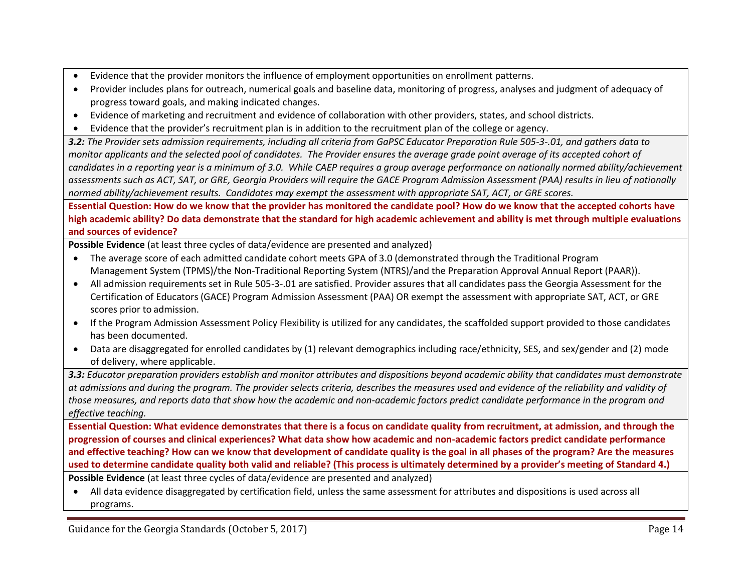- Evidence that the provider monitors the influence of employment opportunities on enrollment patterns.
- Provider includes plans for outreach, numerical goals and baseline data, monitoring of progress, analyses and judgment of adequacy of progress toward goals, and making indicated changes.
- Evidence of marketing and recruitment and evidence of collaboration with other providers, states, and school districts.
- Evidence that the provider's recruitment plan is in addition to the recruitment plan of the college or agency.

*3.2: The Provider sets admission requirements, including all criteria from GaPSC Educator Preparation Rule 505-3-.01, and gathers data to monitor applicants and the selected pool of candidates. The Provider ensures the average grade point average of its accepted cohort of candidates in a reporting year is a minimum of 3.0. While CAEP requires a group average performance on nationally normed ability/achievement assessments such as ACT, SAT, or GRE, Georgia Providers will require the GACE Program Admission Assessment (PAA) results in lieu of nationally normed ability/achievement results. Candidates may exempt the assessment with appropriate SAT, ACT, or GRE scores.* 

**Essential Question: How do we know that the provider has monitored the candidate pool? How do we know that the accepted cohorts have high academic ability? Do data demonstrate that the standard for high academic achievement and ability is met through multiple evaluations and sources of evidence?**

**Possible Evidence** (at least three cycles of data/evidence are presented and analyzed)

- The average score of each admitted candidate cohort meets GPA of 3.0 (demonstrated through the Traditional Program Management System (TPMS)/the Non-Traditional Reporting System (NTRS)/and the Preparation Approval Annual Report (PAAR)).
- All admission requirements set in Rule 505-3-.01 are satisfied. Provider assures that all candidates pass the Georgia Assessment for the Certification of Educators (GACE) Program Admission Assessment (PAA) OR exempt the assessment with appropriate SAT, ACT, or GRE scores prior to admission.
- If the Program Admission Assessment Policy Flexibility is utilized for any candidates, the scaffolded support provided to those candidates has been documented.
- Data are disaggregated for enrolled candidates by (1) relevant demographics including race/ethnicity, SES, and sex/gender and (2) mode of delivery, where applicable.

*3.3: Educator preparation providers establish and monitor attributes and dispositions beyond academic ability that candidates must demonstrate at admissions and during the program. The provider selects criteria, describes the measures used and evidence of the reliability and validity of those measures, and reports data that show how the academic and non-academic factors predict candidate performance in the program and effective teaching.*

**Essential Question: What evidence demonstrates that there is a focus on candidate quality from recruitment, at admission, and through the progression of courses and clinical experiences? What data show how academic and non-academic factors predict candidate performance and effective teaching? How can we know that development of candidate quality is the goal in all phases of the program? Are the measures used to determine candidate quality both valid and reliable? (This process is ultimately determined by a provider's meeting of Standard 4.)**

**Possible Evidence** (at least three cycles of data/evidence are presented and analyzed)

 All data evidence disaggregated by certification field, unless the same assessment for attributes and dispositions is used across all programs.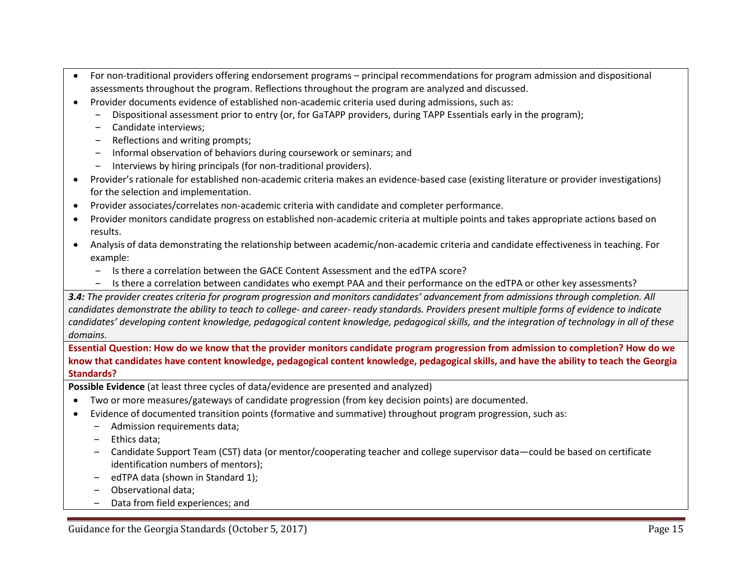- For non-traditional providers offering endorsement programs principal recommendations for program admission and dispositional assessments throughout the program. Reflections throughout the program are analyzed and discussed.
- Provider documents evidence of established non-academic criteria used during admissions, such as:
	- ‒ Dispositional assessment prior to entry (or, for GaTAPP providers, during TAPP Essentials early in the program);
	- ‒ Candidate interviews;
	- ‒ Reflections and writing prompts;
	- ‒ Informal observation of behaviors during coursework or seminars; and
	- ‒ Interviews by hiring principals (for non-traditional providers).
- Provider's rationale for established non-academic criteria makes an evidence-based case (existing literature or provider investigations) for the selection and implementation.
- Provider associates/correlates non-academic criteria with candidate and completer performance.
- Provider monitors candidate progress on established non-academic criteria at multiple points and takes appropriate actions based on results.
- Analysis of data demonstrating the relationship between academic/non-academic criteria and candidate effectiveness in teaching. For example:
	- ‒ Is there a correlation between the GACE Content Assessment and the edTPA score?
	- ‒ Is there a correlation between candidates who exempt PAA and their performance on the edTPA or other key assessments?

*3.4: The provider creates criteria for program progression and monitors candidates' advancement from admissions through completion. All candidates demonstrate the ability to teach to college- and career- ready standards. Providers present multiple forms of evidence to indicate candidates' developing content knowledge, pedagogical content knowledge, pedagogical skills, and the integration of technology in all of these domains.*

**Essential Question: How do we know that the provider monitors candidate program progression from admission to completion? How do we know that candidates have content knowledge, pedagogical content knowledge, pedagogical skills, and have the ability to teach the Georgia Standards?**

**Possible Evidence** (at least three cycles of data/evidence are presented and analyzed)

- Two or more measures/gateways of candidate progression (from key decision points) are documented.
- Evidence of documented transition points (formative and summative) throughout program progression, such as:
	- ‒ Admission requirements data;
	- ‒ Ethics data;
	- ‒ Candidate Support Team (CST) data (or mentor/cooperating teacher and college supervisor data—could be based on certificate identification numbers of mentors);
	- edTPA data (shown in Standard 1);
	- ‒ Observational data;
	- ‒ Data from field experiences; and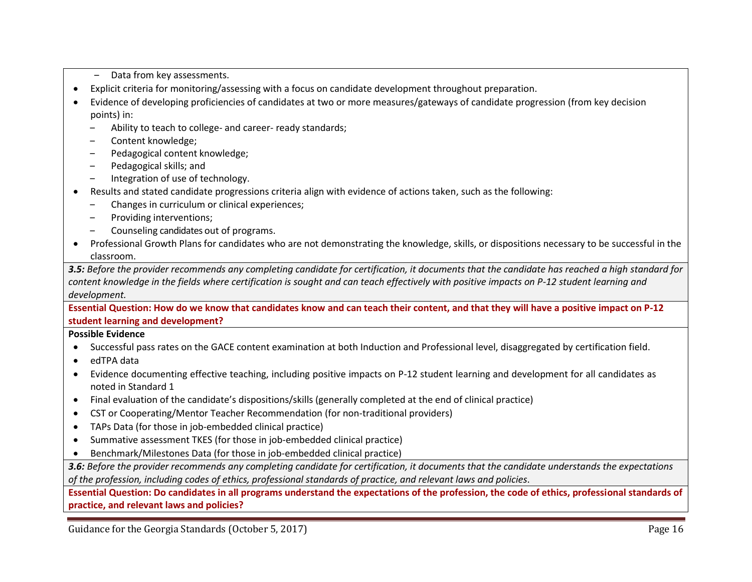- Data from key assessments.
- Explicit criteria for monitoring/assessing with a focus on candidate development throughout preparation.
- Evidence of developing proficiencies of candidates at two or more measures/gateways of candidate progression (from key decision points) in:
	- Ability to teach to college- and career- ready standards;
	- ‒ Content knowledge;
	- ‒ Pedagogical content knowledge;
	- ‒ Pedagogical skills; and
	- Integration of use of technology.
- Results and stated candidate progressions criteria align with evidence of actions taken, such as the following:
	- ‒ Changes in curriculum or clinical experiences;
	- ‒ Providing interventions;
	- ‒ Counseling candidates out of programs.
- Professional Growth Plans for candidates who are not demonstrating the knowledge, skills, or dispositions necessary to be successful in the classroom.

*3.5: Before the provider recommends any completing candidate for certification, it documents that the candidate has reached a high standard for content knowledge in the fields where certification is sought and can teach effectively with positive impacts on P-12 student learning and development.*

**Essential Question: How do we know that candidates know and can teach their content, and that they will have a positive impact on P-12 student learning and development?**

#### **Possible Evidence**

- Successful pass rates on the GACE content examination at both Induction and Professional level, disaggregated by certification field.
- edTPA data
- Evidence documenting effective teaching, including positive impacts on P-12 student learning and development for all candidates as noted in Standard 1
- Final evaluation of the candidate's dispositions/skills (generally completed at the end of clinical practice)
- CST or Cooperating/Mentor Teacher Recommendation (for non-traditional providers)
- TAPs Data (for those in job-embedded clinical practice)
- Summative assessment TKES (for those in job-embedded clinical practice)
- Benchmark/Milestones Data (for those in job-embedded clinical practice)

*3.6: Before the provider recommends any completing candidate for certification, it documents that the candidate understands the expectations of the profession, including codes of ethics, professional standards of practice, and relevant laws and policies*.

**Essential Question: Do candidates in all programs understand the expectations of the profession, the code of ethics, professional standards of practice, and relevant laws and policies?**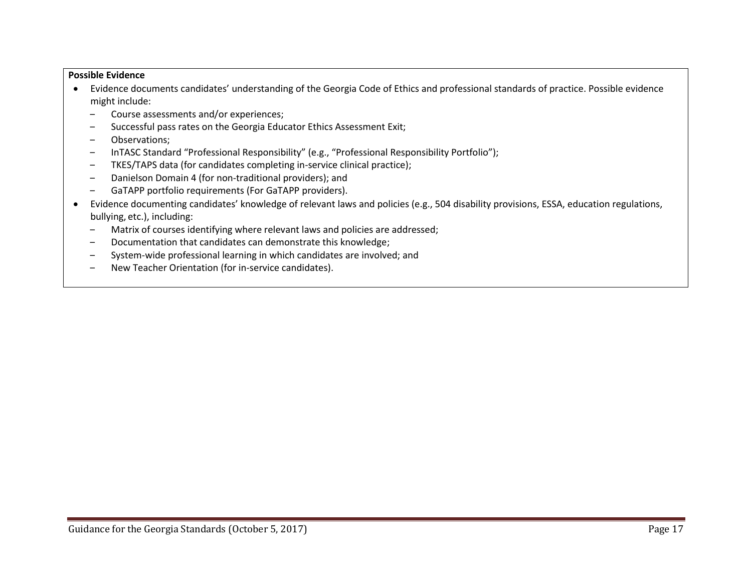- Evidence documents candidates' understanding of the Georgia Code of Ethics and professional standards of practice. Possible evidence might include:
	- ‒ Course assessments and/or experiences;
	- ‒ Successful pass rates on the Georgia Educator Ethics Assessment Exit;
	- ‒ Observations;
	- ‒ InTASC Standard "Professional Responsibility" (e.g., "Professional Responsibility Portfolio");
	- ‒ TKES/TAPS data (for candidates completing in-service clinical practice);
	- ‒ Danielson Domain 4 (for non-traditional providers); and
	- ‒ GaTAPP portfolio requirements (For GaTAPP providers).
- Evidence documenting candidates' knowledge of relevant laws and policies (e.g., 504 disability provisions, ESSA, education regulations, bullying, etc.), including:
	- Matrix of courses identifying where relevant laws and policies are addressed;
	- ‒ Documentation that candidates can demonstrate this knowledge;
	- ‒ System-wide professional learning in which candidates are involved; and
	- ‒ New Teacher Orientation (for in-service candidates).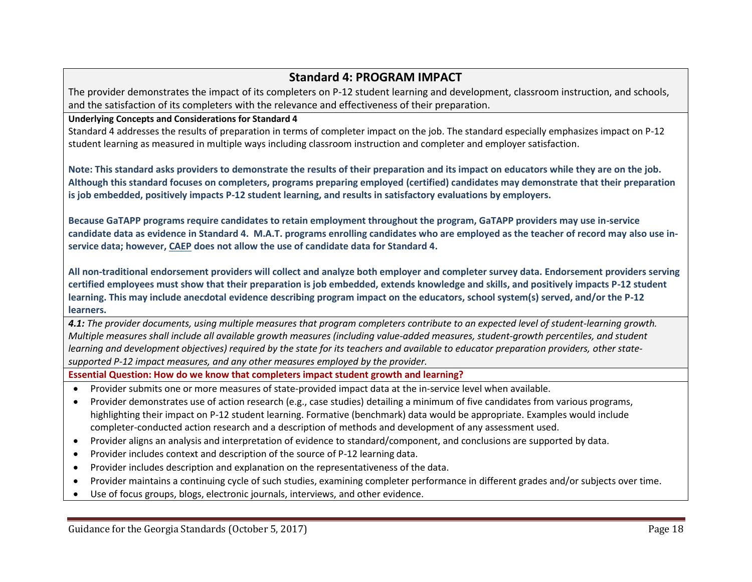## **Standard 4: PROGRAM IMPACT**

The provider demonstrates the impact of its completers on P-12 student learning and development, classroom instruction, and schools, and the satisfaction of its completers with the relevance and effectiveness of their preparation.

#### **Underlying Concepts and Considerations for Standard 4**

Standard 4 addresses the results of preparation in terms of completer impact on the job. The standard especially emphasizes impact on P-12 student learning as measured in multiple ways including classroom instruction and completer and employer satisfaction.

**Note: This standard asks providers to demonstrate the results of their preparation and its impact on educators while they are on the job. Although this standard focuses on completers, programs preparing employed (certified) candidates may demonstrate that their preparation is job embedded, positively impacts P-12 student learning, and results in satisfactory evaluations by employers.** 

**Because GaTAPP programs require candidates to retain employment throughout the program, GaTAPP providers may use in-service candidate data as evidence in Standard 4. M.A.T. programs enrolling candidates who are employed as the teacher of record may also use inservice data; however, CAEP does not allow the use of candidate data for Standard 4.**

**All non-traditional endorsement providers will collect and analyze both employer and completer survey data. Endorsement providers serving certified employees must show that their preparation is job embedded, extends knowledge and skills, and positively impacts P-12 student learning. This may include anecdotal evidence describing program impact on the educators, school system(s) served, and/or the P-12 learners.**

*4.1: The provider documents, using multiple measures that program completers contribute to an expected level of student-learning growth. Multiple measures shall include all available growth measures (including value-added measures, student-growth percentiles, and student learning and development objectives) required by the state for its teachers and available to educator preparation providers, other statesupported P-12 impact measures, and any other measures employed by the provider.*

**Essential Question: How do we know that completers impact student growth and learning?**

- Provider submits one or more measures of state-provided impact data at the in-service level when available.
- Provider demonstrates use of action research (e.g., case studies) detailing a minimum of five candidates from various programs, highlighting their impact on P-12 student learning. Formative (benchmark) data would be appropriate. Examples would include completer-conducted action research and a description of methods and development of any assessment used.
- Provider aligns an analysis and interpretation of evidence to standard/component, and conclusions are supported by data.
- Provider includes context and description of the source of P-12 learning data.
- Provider includes description and explanation on the representativeness of the data.
- Provider maintains a continuing cycle of such studies, examining completer performance in different grades and/or subjects over time.
- Use of focus groups, blogs, electronic journals, interviews, and other evidence.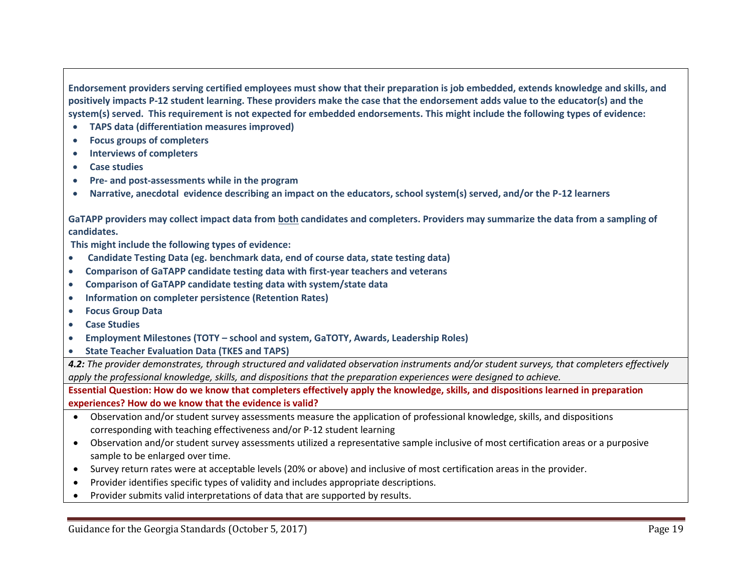**Endorsement providers serving certified employees must show that their preparation is job embedded, extends knowledge and skills, and positively impacts P-12 student learning. These providers make the case that the endorsement adds value to the educator(s) and the system(s) served. This requirement is not expected for embedded endorsements. This might include the following types of evidence:**

- **TAPS data (differentiation measures improved)**
- **Focus groups of completers**
- **Interviews of completers**
- **Case studies**
- **Pre- and post-assessments while in the program**
- **Narrative, anecdotal evidence describing an impact on the educators, school system(s) served, and/or the P-12 learners**

**GaTAPP providers may collect impact data from both candidates and completers. Providers may summarize the data from a sampling of candidates.**

**This might include the following types of evidence:**

- **Candidate Testing Data (eg. benchmark data, end of course data, state testing data)**
- **Comparison of GaTAPP candidate testing data with first-year teachers and veterans**
- **Comparison of GaTAPP candidate testing data with system/state data**
- **Information on completer persistence (Retention Rates)**
- **Focus Group Data**
- **Case Studies**
- **Employment Milestones (TOTY – school and system, GaTOTY, Awards, Leadership Roles)**
- **State Teacher Evaluation Data (TKES and TAPS)**

*4.2: The provider demonstrates, through structured and validated observation instruments and/or student surveys, that completers effectively apply the professional knowledge, skills, and dispositions that the preparation experiences were designed to achieve.*

**Essential Question: How do we know that completers effectively apply the knowledge, skills, and dispositions learned in preparation experiences? How do we know that the evidence is valid?**

- Observation and/or student survey assessments measure the application of professional knowledge, skills, and dispositions corresponding with teaching effectiveness and/or P-12 student learning
- Observation and/or student survey assessments utilized a representative sample inclusive of most certification areas or a purposive sample to be enlarged over time.
- Survey return rates were at acceptable levels (20% or above) and inclusive of most certification areas in the provider.
- Provider identifies specific types of validity and includes appropriate descriptions.
- Provider submits valid interpretations of data that are supported by results.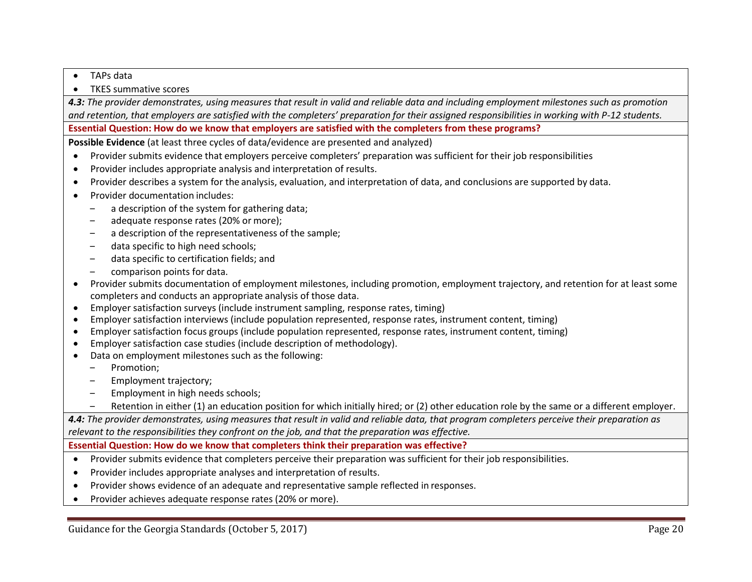- TAPs data
- TKES summative scores

*4.3: The provider demonstrates, using measures that result in valid and reliable data and including employment milestones such as promotion and retention, that employers are satisfied with the completers' preparation for their assigned responsibilities in working with P-12 students.*

**Essential Question: How do we know that employers are satisfied with the completers from these programs?**

**Possible Evidence** (at least three cycles of data/evidence are presented and analyzed)

- Provider submits evidence that employers perceive completers' preparation was sufficient for their job responsibilities
- Provider includes appropriate analysis and interpretation of results.
- Provider describes a system for the analysis, evaluation, and interpretation of data, and conclusions are supported by data.
- Provider documentation includes:
	- a description of the system for gathering data;
	- adequate response rates (20% or more);
	- a description of the representativeness of the sample;
	- data specific to high need schools;
	- data specific to certification fields; and
	- ‒ comparison points for data.
- Provider submits documentation of employment milestones, including promotion, employment trajectory, and retention for at least some completers and conducts an appropriate analysis of those data.
- Employer satisfaction surveys (include instrument sampling, response rates, timing)
- Employer satisfaction interviews (include population represented, response rates, instrument content, timing)
- Employer satisfaction focus groups (include population represented, response rates, instrument content, timing)
- Employer satisfaction case studies (include description of methodology).
- Data on employment milestones such as the following:
	- ‒ Promotion;
	- Employment trajectory;
	- ‒ Employment in high needs schools;
	- Retention in either (1) an education position for which initially hired; or (2) other education role by the same or a different employer.

*4.4: The provider demonstrates, using measures that result in valid and reliable data, that program completers perceive their preparation as relevant to the responsibilities they confront on the job, and that the preparation was effective.*

**Essential Question: How do we know that completers think their preparation was effective?**

- Provider submits evidence that completers perceive their preparation was sufficient for their job responsibilities.
- Provider includes appropriate analyses and interpretation of results.
- Provider shows evidence of an adequate and representative sample reflected in responses.
- Provider achieves adequate response rates (20% or more).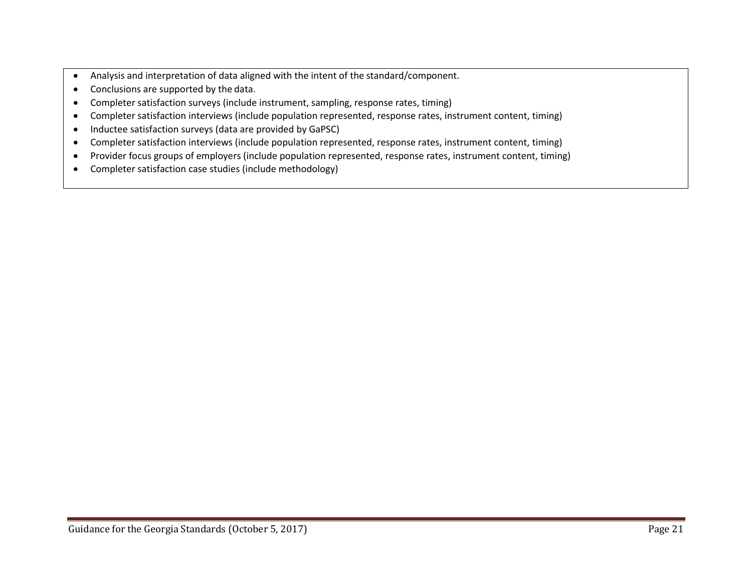- Analysis and interpretation of data aligned with the intent of the standard/component.
- Conclusions are supported by the data.
- Completer satisfaction surveys (include instrument, sampling, response rates, timing)
- Completer satisfaction interviews (include population represented, response rates, instrument content, timing)
- Inductee satisfaction surveys (data are provided by GaPSC)
- Completer satisfaction interviews (include population represented, response rates, instrument content, timing)
- Provider focus groups of employers (include population represented, response rates, instrument content, timing)
- Completer satisfaction case studies (include methodology)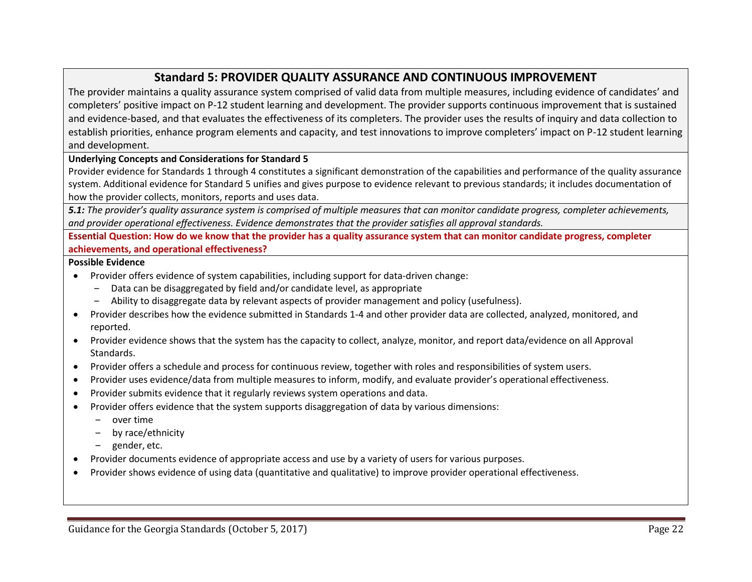## **Standard 5: PROVIDER QUALITY ASSURANCE AND CONTINUOUS IMPROVEMENT**

The provider maintains a quality assurance system comprised of valid data from multiple measures, including evidence of candidates' and completers' positive impact on P-12 student learning and development. The provider supports continuous improvement that is sustained and evidence-based, and that evaluates the effectiveness of its completers. The provider uses the results of inquiry and data collection to establish priorities, enhance program elements and capacity, and test innovations to improve completers' impact on P-12 student learning and development.

#### **Underlying Concepts and Considerations for Standard 5**

Provider evidence for Standards 1 through 4 constitutes a significant demonstration of the capabilities and performance of the quality assurance system. Additional evidence for Standard 5 unifies and gives purpose to evidence relevant to previous standards; it includes documentation of how the provider collects, monitors, reports and uses data.

*5.1: The provider's quality assurance system is comprised of multiple measures that can monitor candidate progress, completer achievements, and provider operational effectiveness. Evidence demonstrates that the provider satisfies all approval standards.*

**Essential Question: How do we know that the provider has a quality assurance system that can monitor candidate progress, completer achievements, and operational effectiveness?**

- Provider offers evidence of system capabilities, including support for data-driven change:
	- ‒ Data can be disaggregated by field and/or candidate level, as appropriate
	- ‒ Ability to disaggregate data by relevant aspects of provider management and policy (usefulness).
- Provider describes how the evidence submitted in Standards 1-4 and other provider data are collected, analyzed, monitored, and reported.
- Provider evidence shows that the system has the capacity to collect, analyze, monitor, and report data/evidence on all Approval Standards.
- Provider offers a schedule and process for continuous review, together with roles and responsibilities of system users.
- Provider uses evidence/data from multiple measures to inform, modify, and evaluate provider's operational effectiveness.
- Provider submits evidence that it regularly reviews system operations and data.
- Provider offers evidence that the system supports disaggregation of data by various dimensions:
	- ‒ over time
	- ‒ by race/ethnicity
	- gender, etc.
- Provider documents evidence of appropriate access and use by a variety of users for various purposes.
- Provider shows evidence of using data (quantitative and qualitative) to improve provider operational effectiveness.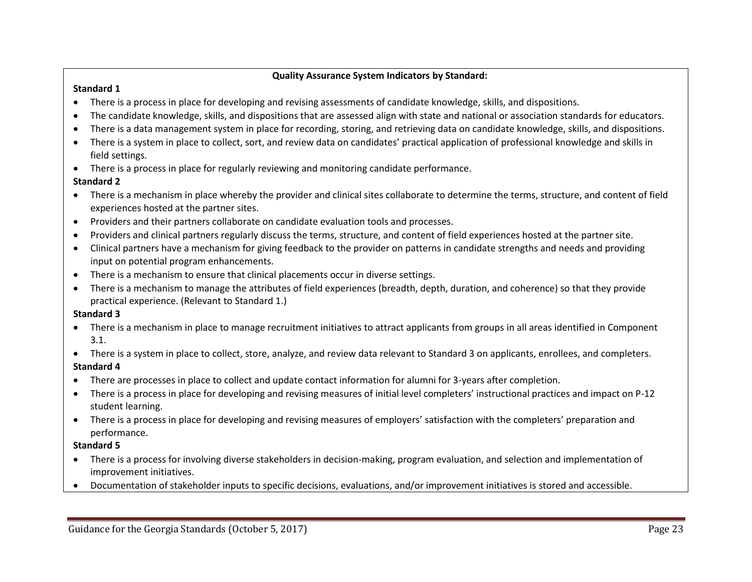#### **Quality Assurance System Indicators by Standard:**

#### **Standard 1**

- There is a process in place for developing and revising assessments of candidate knowledge, skills, and dispositions.
- The candidate knowledge, skills, and dispositions that are assessed align with state and national or association standards for educators.
- There is a data management system in place for recording, storing, and retrieving data on candidate knowledge, skills, and dispositions.
- There is a system in place to collect, sort, and review data on candidates' practical application of professional knowledge and skills in field settings.
- There is a process in place for regularly reviewing and monitoring candidate performance.

### **Standard 2**

- There is a mechanism in place whereby the provider and clinical sites collaborate to determine the terms, structure, and content of field experiences hosted at the partner sites.
- Providers and their partners collaborate on candidate evaluation tools and processes.
- Providers and clinical partners regularly discuss the terms, structure, and content of field experiences hosted at the partner site.
- Clinical partners have a mechanism for giving feedback to the provider on patterns in candidate strengths and needs and providing input on potential program enhancements.
- There is a mechanism to ensure that clinical placements occur in diverse settings.
- There is a mechanism to manage the attributes of field experiences (breadth, depth, duration, and coherence) so that they provide practical experience. (Relevant to Standard 1.)

### **Standard 3**

- There is a mechanism in place to manage recruitment initiatives to attract applicants from groups in all areas identified in Component 3.1.
- There is a system in place to collect, store, analyze, and review data relevant to Standard 3 on applicants, enrollees, and completers.

## **Standard 4**

- There are processes in place to collect and update contact information for alumni for 3-years after completion.
- There is a process in place for developing and revising measures of initial level completers' instructional practices and impact on P-12 student learning.
- There is a process in place for developing and revising measures of employers' satisfaction with the completers' preparation and performance.

### **Standard 5**

- There is a process for involving diverse stakeholders in decision-making, program evaluation, and selection and implementation of improvement initiatives.
- Documentation of stakeholder inputs to specific decisions, evaluations, and/or improvement initiatives is stored and accessible.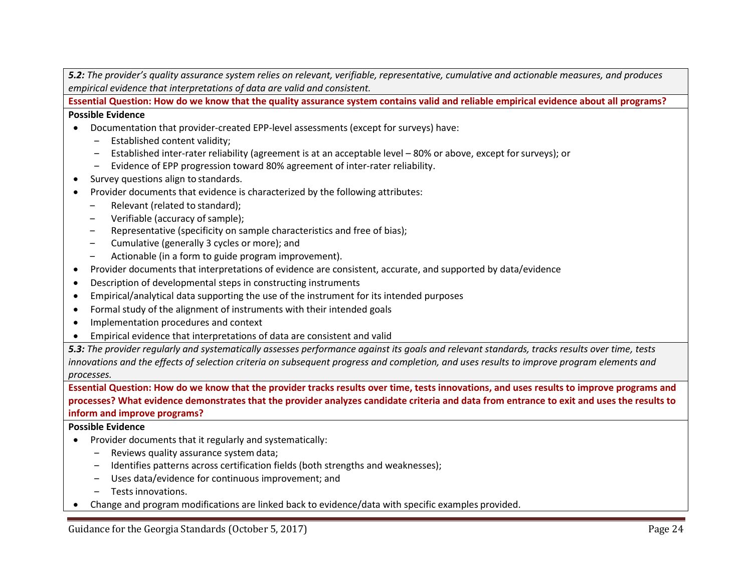*5.2: The provider's quality assurance system relies on relevant, verifiable, representative, cumulative and actionable measures, and produces empirical evidence that interpretations of data are valid and consistent.*

**Essential Question: How do we know that the quality assurance system contains valid and reliable empirical evidence about all programs?**

**Possible Evidence**

- Documentation that provider-created EPP-level assessments (except for surveys) have:
	- ‒ Established content validity;
	- Established inter-rater reliability (agreement is at an acceptable level 80% or above, except for surveys); or
	- ‒ Evidence of EPP progression toward 80% agreement of inter-rater reliability.
- Survey questions align to standards.
- Provider documents that evidence is characterized by the following attributes:
	- ‒ Relevant (related to standard);
	- Verifiable (accuracy of sample);
	- Representative (specificity on sample characteristics and free of bias);
	- ‒ Cumulative (generally 3 cycles or more); and
	- ‒ Actionable (in a form to guide program improvement).
- Provider documents that interpretations of evidence are consistent, accurate, and supported by data/evidence
- Description of developmental steps in constructing instruments
- Empirical/analytical data supporting the use of the instrument for its intended purposes
- Formal study of the alignment of instruments with their intended goals
- Implementation procedures and context
- Empirical evidence that interpretations of data are consistent and valid

*5.3: The provider regularly and systematically assesses performance against its goals and relevant standards, tracks results over time, tests innovations and the effects of selection criteria on subsequent progress and completion, and uses results to improve program elements and processes.*

**Essential Question: How do we know that the provider tracks results over time, tests innovations, and uses results to improve programs and processes? What evidence demonstrates that the provider analyzes candidate criteria and data from entrance to exit and uses the results to inform and improve programs?**

- Provider documents that it regularly and systematically:
	- Reviews quality assurance system data;
	- ‒ Identifies patterns across certification fields (both strengths and weaknesses);
	- ‒ Uses data/evidence for continuous improvement; and
	- ‒ Tests innovations.
- Change and program modifications are linked back to evidence/data with specific examples provided.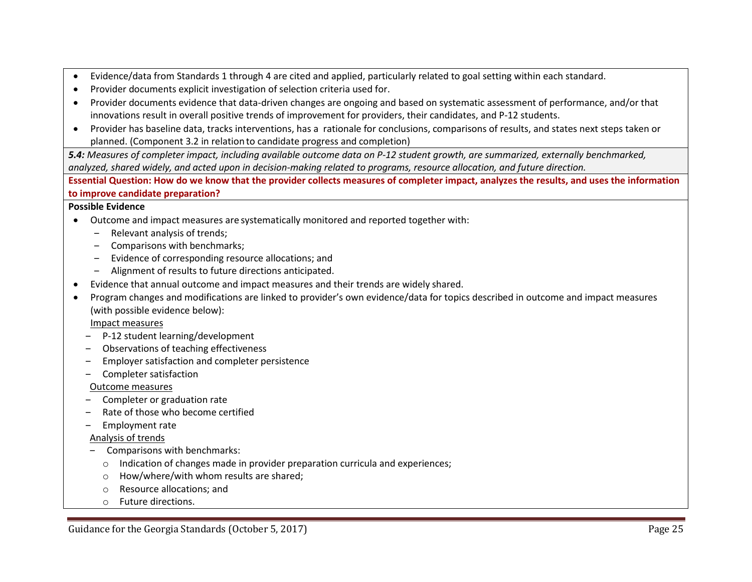- Evidence/data from Standards 1 through 4 are cited and applied, particularly related to goal setting within each standard.
- Provider documents explicit investigation of selection criteria used for.
- Provider documents evidence that data-driven changes are ongoing and based on systematic assessment of performance, and/or that innovations result in overall positive trends of improvement for providers, their candidates, and P-12 students.
- Provider has baseline data, tracks interventions, has a rationale for conclusions, comparisons of results, and states next steps taken or planned. (Component 3.2 in relation to candidate progress and completion)

*5.4: Measures of completer impact, including available outcome data on P-12 student growth, are summarized, externally benchmarked, analyzed, shared widely, and acted upon in decision-making related to programs, resource allocation, and future direction.*

**Essential Question: How do we know that the provider collects measures of completer impact, analyzes the results, and uses the information to improve candidate preparation?**

#### **Possible Evidence**

- Outcome and impact measures are systematically monitored and reported together with:
	- Relevant analysis of trends;
	- ‒ Comparisons with benchmarks;
	- ‒ Evidence of corresponding resource allocations; and
	- ‒ Alignment of results to future directions anticipated.
- Evidence that annual outcome and impact measures and their trends are widely shared.
- Program changes and modifications are linked to provider's own evidence/data for topics described in outcome and impact measures (with possible evidence below):

Impact measures

- ‒ P-12 student learning/development
- ‒ Observations of teaching effectiveness
- ‒ Employer satisfaction and completer persistence
- ‒ Completer satisfaction

#### Outcome measures

- ‒ Completer or graduation rate
- Rate of those who become certified
- ‒ Employment rate

#### Analysis of trends

- ‒ Comparisons with benchmarks:
	- o Indication of changes made in provider preparation curricula and experiences;
	- How/where/with whom results are shared;
	- o Resource allocations; and
	- o Future directions.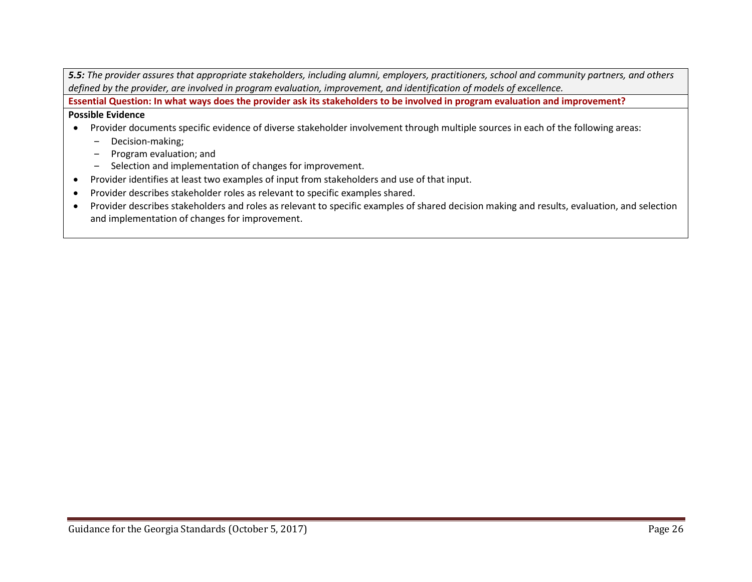| 5.5: The provider assures that appropriate stakeholders, including alumni, employers, practitioners, school and community partners, and others |
|------------------------------------------------------------------------------------------------------------------------------------------------|
| defined by the provider, are involved in program evaluation, improvement, and identification of models of excellence.                          |

**Essential Question: In what ways does the provider ask its stakeholders to be involved in program evaluation and improvement?** 

- Provider documents specific evidence of diverse stakeholder involvement through multiple sources in each of the following areas:
	- ‒ Decision-making;
	- ‒ Program evaluation; and
	- ‒ Selection and implementation of changes for improvement.
- Provider identifies at least two examples of input from stakeholders and use of that input.
- Provider describes stakeholder roles as relevant to specific examples shared.
- Provider describes stakeholders and roles as relevant to specific examples of shared decision making and results, evaluation, and selection and implementation of changes for improvement.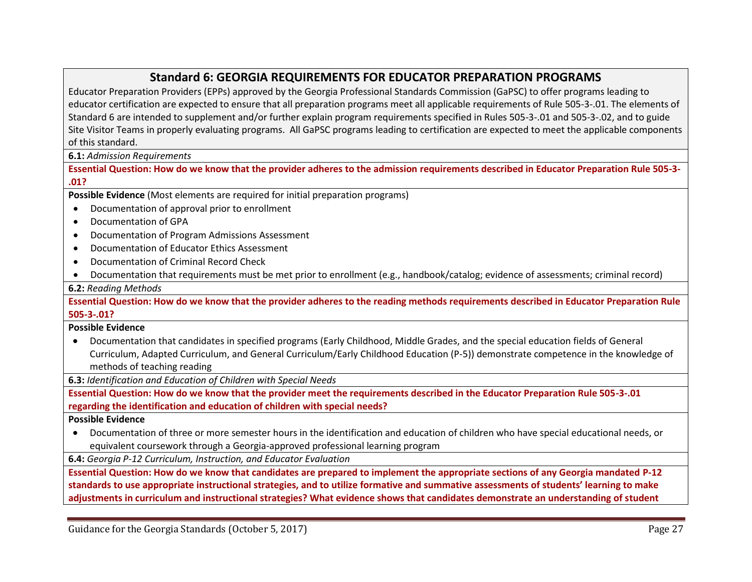## **Standard 6: GEORGIA REQUIREMENTS FOR EDUCATOR PREPARATION PROGRAMS**

Educator Preparation Providers (EPPs) approved by the Georgia Professional Standards Commission (GaPSC) to offer programs leading to educator certification are expected to ensure that all preparation programs meet all applicable requirements of Rule 505-3-.01. The elements of Standard 6 are intended to supplement and/or further explain program requirements specified in Rules 505-3-.01 and 505-3-.02, and to guide Site Visitor Teams in properly evaluating programs. All GaPSC programs leading to certification are expected to meet the applicable components of this standard.

**6.1:** *Admission Requirements*

**Essential Question: How do we know that the provider adheres to the admission requirements described in Educator Preparation Rule 505-3- .01?**

**Possible Evidence** (Most elements are required for initial preparation programs)

- Documentation of approval prior to enrollment
- Documentation of GPA
- Documentation of Program Admissions Assessment
- Documentation of Educator Ethics Assessment
- Documentation of Criminal Record Check
- Documentation that requirements must be met prior to enrollment (e.g., handbook/catalog; evidence of assessments; criminal record)

**6.2:** *Reading Methods*

**Essential Question: How do we know that the provider adheres to the reading methods requirements described in Educator Preparation Rule 505-3-.01?**

**Possible Evidence**

 Documentation that candidates in specified programs (Early Childhood, Middle Grades, and the special education fields of General Curriculum, Adapted Curriculum, and General Curriculum/Early Childhood Education (P-5)) demonstrate competence in the knowledge of methods of teaching reading

**6.3:** *Identification and Education of Children with Special Needs*

**Essential Question: How do we know that the provider meet the requirements described in the Educator Preparation Rule 505-3-.01 regarding the identification and education of children with special needs?** 

#### **Possible Evidence**

 Documentation of three or more semester hours in the identification and education of children who have special educational needs, or equivalent coursework through a Georgia-approved professional learning program

**6.4:** *Georgia P-12 Curriculum, Instruction, and Educator Evaluation*

**Essential Question: How do we know that candidates are prepared to implement the appropriate sections of any Georgia mandated P-12 standards to use appropriate instructional strategies, and to utilize formative and summative assessments of students' learning to make adjustments in curriculum and instructional strategies? What evidence shows that candidates demonstrate an understanding of student**